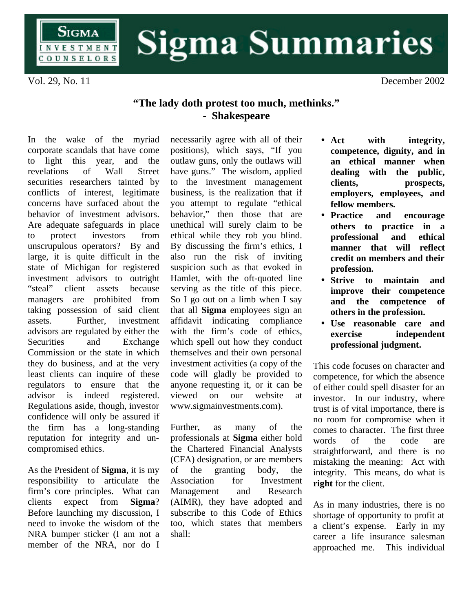

## **Sigma Summaries**

Vol. 29, No. 11 December 2002

## **"The lady doth protest too much, methinks." - Shakespeare**

In the wake of the myriad corporate scandals that have come to light this year, and the revelations of Wall Street securities researchers tainted by conflicts of interest, legitimate concerns have surfaced about the behavior of investment advisors. Are adequate safeguards in place to protect investors from unscrupulous operators? By and large, it is quite difficult in the state of Michigan for registered investment advisors to outright "steal" client assets because managers are prohibited from taking possession of said client assets. Further, investment advisors are regulated by either the Securities and Exchange Commission or the state in which they do business, and at the very least clients can inquire of these regulators to ensure that the advisor is indeed registered. Regulations aside, though, investor confidence will only be assured if the firm has a long-standing reputation for integrity and uncompromised ethics.

As the President of **Sigma**, it is my responsibility to articulate the firm's core principles. What can clients expect from **Sigma**? Before launching my discussion, I need to invoke the wisdom of the NRA bumper sticker (I am not a member of the NRA, nor do I

necessarily agree with all of their positions), which says, "If you outlaw guns, only the outlaws will have guns." The wisdom, applied to the investment management business, is the realization that if you attempt to regulate "ethical behavior," then those that are unethical will surely claim to be ethical while they rob you blind. By discussing the firm's ethics, I also run the risk of inviting suspicion such as that evoked in Hamlet, with the oft-quoted line serving as the title of this piece. So I go out on a limb when I say that all **Sigma** employees sign an affidavit indicating compliance with the firm's code of ethics, which spell out how they conduct themselves and their own personal investment activities (a copy of the code will gladly be provided to anyone requesting it, or it can be viewed on our website at www.sigmainvestments.com).

Further, as many of the professionals at **Sigma** either hold the Chartered Financial Analysts (CFA) designation, or are members of the granting body, the Association for Investment Management and Research (AIMR), they have adopted and subscribe to this Code of Ethics too, which states that members shall:

- **Act with integrity, competence, dignity, and in an ethical manner when dealing with the public, clients, prospects, employers, employees, and fellow members.**
- **Practice and encourage others to practice in a professional and ethical manner that will reflect credit on members and their profession.**
- **Strive to maintain and improve their competence and the competence of others in the profession.**
- **Use reasonable care and exercise independent professional judgment.**

This code focuses on character and competence, for which the absence of either could spell disaster for an investor. In our industry, where trust is of vital importance, there is no room for compromise when it comes to character. The first three words of the code are straightforward, and there is no mistaking the meaning: Act with integrity. This means, do what is **right** for the client.

As in many industries, there is no shortage of opportunity to profit at a client's expense. Early in my career a life insurance salesman approached me. This individual